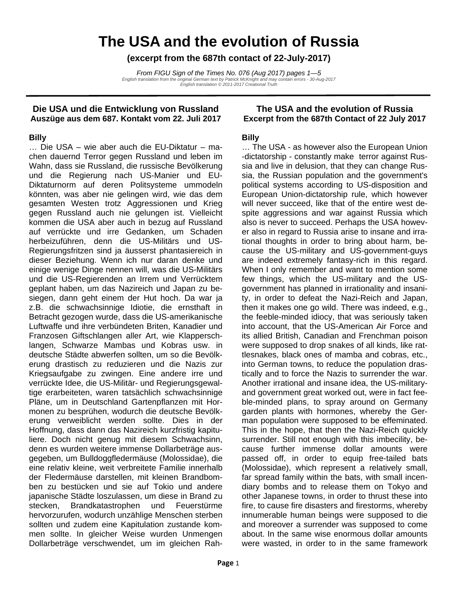# **The USA and the evolution of Russia**

**(excerpt from the 687th contact of 22-July-2017)** 

*From FIGU Sign of the Times No. 076 (Aug 2017) pages 1—5 English translation from the original German text by Patrick McKnight and may contain errors - 30-Aug-2017 English translation © 2011-2017 Creational Truth* 

## **Die USA und die Entwicklung von Russland Auszüge aus dem 687. Kontakt vom 22. Juli 2017**

## **Billy**

… Die USA – wie aber auch die EU-Diktatur – machen dauernd Terror gegen Russland und leben im Wahn, dass sie Russland, die russische Bevölkerung und die Regierung nach US-Manier und EU-Diktaturnorm auf deren Politsysteme ummodeln könnten, was aber nie gelingen wird, wie das dem gesamten Westen trotz Aggressionen und Krieg gegen Russland auch nie gelungen ist. Vielleicht kommen die USA aber auch in bezug auf Russland auf verrückte und irre Gedanken, um Schaden herbeizuführen, denn die US-Militärs und US-Regierungsfritzen sind ja äusserst phantasiereich in dieser Beziehung. Wenn ich nur daran denke und einige wenige Dinge nennen will, was die US-Militärs und die US-Regierenden an Irrem und Verrücktem geplant haben, um das Nazireich und Japan zu besiegen, dann geht einem der Hut hoch. Da war ja z.B. die schwachsinnige Idiotie, die ernsthaft in Betracht gezogen wurde, dass die US-amerikanische Luftwaffe und ihre verbündeten Briten, Kanadier und Franzosen Giftschlangen aller Art, wie Klapperschlangen, Schwarze Mambas und Kobras usw. in deutsche Städte abwerfen sollten, um so die Bevölkerung drastisch zu reduzieren und die Nazis zur Kriegsaufgabe zu zwingen. Eine andere irre und verrückte Idee, die US-Militär- und Regierungsgewaltige erarbeiteten, waren tatsächlich schwachsinnige Pläne, um in Deutschland Gartenpflanzen mit Hormonen zu besprühen, wodurch die deutsche Bevölkerung verweiblicht werden sollte. Dies in der Hoffnung, dass dann das Nazireich kurzfristig kapituliere. Doch nicht genug mit diesem Schwachsinn, denn es wurden weitere immense Dollarbeträge ausgegeben, um Bulldoggfledermäuse (Molossidae), die eine relativ kleine, weit verbreitete Familie innerhalb der Fledermäuse darstellen, mit kleinen Brandbomben zu bestücken und sie auf Tokio und andere japanische Städte loszulassen, um diese in Brand zu stecken, Brandkatastrophen und Feuerstürme hervorzurufen, wodurch unzählige Menschen sterben sollten und zudem eine Kapitulation zustande kommen sollte. In gleicher Weise wurden Unmengen Dollarbeträge verschwendet, um im gleichen Rah-

## **The USA and the evolution of Russia Excerpt from the 687th Contact of 22 July 2017**

## **Billy**

… The USA - as however also the European Union -dictatorship - constantly make terror against Russia and live in delusion, that they can change Russia, the Russian population and the government's political systems according to US-disposition and European Union-dictatorship rule, which however will never succeed, like that of the entire west despite aggressions and war against Russia which also is never to succeed. Perhaps the USA however also in regard to Russia arise to insane and irrational thoughts in order to bring about harm, because the US-military and US-government-guys are indeed extremely fantasy-rich in this regard. When I only remember and want to mention some few things, which the US-military and the USgovernment has planned in irrationality and insanity, in order to defeat the Nazi-Reich and Japan, then it makes one go wild. There was indeed, e.g., the feeble-minded idiocy, that was seriously taken into account, that the US-American Air Force and its allied British, Canadian and Frenchman poison were supposed to drop snakes of all kinds, like rattlesnakes, black ones of mamba and cobras, etc., into German towns, to reduce the population drastically and to force the Nazis to surrender the war. Another irrational and insane idea, the US-militaryand government great worked out, were in fact feeble-minded plans, to spray around on Germany garden plants with hormones, whereby the German population were supposed to be effeminated. This in the hope, that then the Nazi-Reich quickly surrender. Still not enough with this imbecility, because further immense dollar amounts were passed off, in order to equip free-tailed bats (Molossidae), which represent a relatively small, far spread family within the bats, with small incendiary bombs and to release them on Tokyo and other Japanese towns, in order to thrust these into fire, to cause fire disasters and firestorms, whereby innumerable human beings were supposed to die and moreover a surrender was supposed to come about. In the same wise enormous dollar amounts were wasted, in order to in the same framework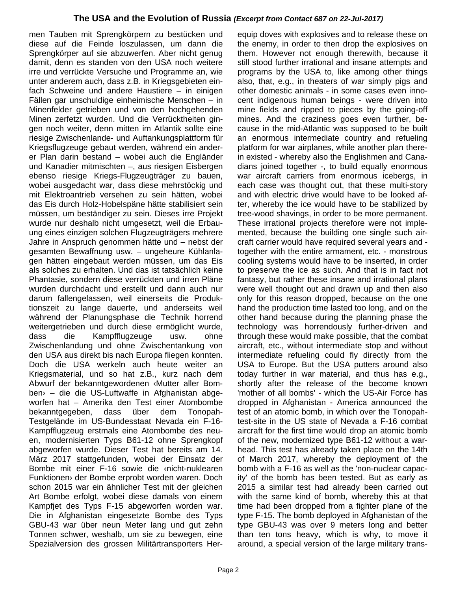men Tauben mit Sprengkörpern zu bestücken und diese auf die Feinde loszulassen, um dann die Sprengkörper auf sie abzuwerfen. Aber nicht genug damit, denn es standen von den USA noch weitere irre und verrückte Versuche und Programme an, wie unter anderem auch, dass z.B. in Kriegsgebieten einfach Schweine und andere Haustiere – in einigen Fällen gar unschuldige einheimische Menschen – in Minenfelder getrieben und von den hochgehenden Minen zerfetzt wurden. Und die Verrücktheiten gingen noch weiter, denn mitten im Atlantik sollte eine riesige Zwischenlande- und Auftankungsplattform für Kriegsflugzeuge gebaut werden, während ein anderer Plan darin bestand – wobei auch die Engländer und Kanadier mitmischten –, aus riesigen Eisbergen ebenso riesige Kriegs-Flugzeugträger zu bauen, wobei ausgedacht war, dass diese mehrstöckig und mit Elektroantrieb versehen zu sein hätten, wobei das Eis durch Holz-Hobelspäne hätte stabilisiert sein müssen, um beständiger zu sein. Dieses irre Projekt wurde nur deshalb nicht umgesetzt, weil die Erbauung eines einzigen solchen Flugzeugträgers mehrere Jahre in Anspruch genommen hätte und – nebst der gesamten Bewaffnung usw. – ungeheure Kühlanlagen hätten eingebaut werden müssen, um das Eis als solches zu erhalten. Und das ist tatsächlich keine Phantasie, sondern diese verrückten und irren Pläne wurden durchdacht und erstellt und dann auch nur darum fallengelassen, weil einerseits die Produktionszeit zu lange dauerte, und anderseits weil während der Planungsphase die Technik horrend weitergetrieben und durch diese ermöglicht wurde, dass die Kampfflugzeuge usw. ohne Zwischenlandung und ohne Zwischentankung von den USA aus direkt bis nach Europa fliegen konnten. Doch die USA werkeln auch heute weiter an Kriegsmaterial, und so hat z.B., kurz nach dem Abwurf der bekanntgewordenen ‹Mutter aller Bomben› – die die US-Luftwaffe in Afghanistan abgeworfen hat – Amerika den Test einer Atombombe bekanntgegeben, dass über dem Tonopah-Testgelände im US-Bundesstaat Nevada ein F-16- Kampfflugzeug erstmals eine Atombombe des neuen, modernisierten Typs B61-12 ohne Sprengkopf abgeworfen wurde. Dieser Test hat bereits am 14. März 2017 stattgefunden, wobei der Einsatz der Bombe mit einer F-16 sowie die ‹nicht-nuklearen Funktionen› der Bombe erprobt worden waren. Doch schon 2015 war ein ähnlicher Test mit der gleichen Art Bombe erfolgt, wobei diese damals von einem Kampfjet des Typs F-15 abgeworfen worden war. Die in Afghanistan eingesetzte Bombe des Typs GBU-43 war über neun Meter lang und gut zehn Tonnen schwer, weshalb, um sie zu bewegen, eine Spezialversion des grossen Militärtransporters Herequip doves with explosives and to release these on the enemy, in order to then drop the explosives on them. However not enough therewith, because it still stood further irrational and insane attempts and programs by the USA to, like among other things also, that, e.g., in theaters of war simply pigs and other domestic animals - in some cases even innocent indigenous human beings - were driven into mine fields and ripped to pieces by the going-off mines. And the craziness goes even further, because in the mid-Atlantic was supposed to be built an enormous intermediate country and refueling platform for war airplanes, while another plan therein existed - whereby also the Englishmen and Canadians joined together -, to build equally enormous war aircraft carriers from enormous icebergs, in each case was thought out, that these multi-story and with electric drive would have to be looked after, whereby the ice would have to be stabilized by tree-wood shavings, in order to be more permanent. These irrational projects therefore were not implemented, because the building one single such aircraft carrier would have required several years and together with the entire armament, etc. - monstrous cooling systems would have to be inserted, in order to preserve the ice as such. And that is in fact not fantasy, but rather these insane and irrational plans were well thought out and drawn up and then also only for this reason dropped, because on the one hand the production time lasted too long, and on the other hand because during the planning phase the technology was horrendously further-driven and through these would make possible, that the combat aircraft, etc., without intermediate stop and without intermediate refueling could fly directly from the USA to Europe. But the USA putters around also today further in war material, and thus has e.g., shortly after the release of the become known 'mother of all bombs' - which the US-Air Force has dropped in Afghanistan - America announced the test of an atomic bomb, in which over the Tonopahtest-site in the US state of Nevada a F-16 combat aircraft for the first time would drop an atomic bomb of the new, modernized type B61-12 without a warhead. This test has already taken place on the 14th of March 2017, whereby the deployment of the bomb with a F-16 as well as the 'non-nuclear capacity' of the bomb has been tested. But as early as 2015 a similar test had already been carried out with the same kind of bomb, whereby this at that time had been dropped from a fighter plane of the type F-15. The bomb deployed in Afghanistan of the type GBU-43 was over 9 meters long and better than ten tons heavy, which is why, to move it around, a special version of the large military trans-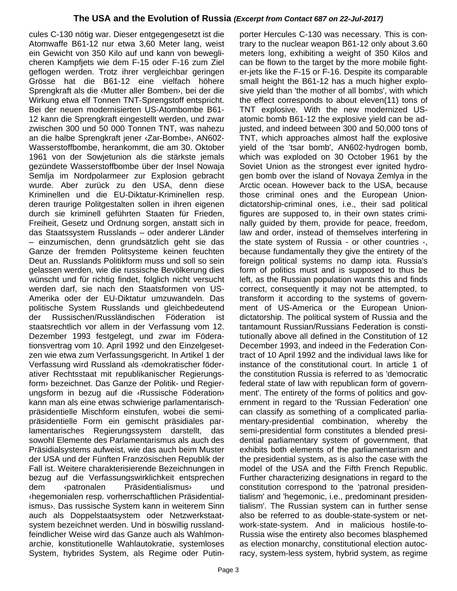cules C-130 nötig war. Dieser entgegengesetzt ist die Atomwaffe B61-12 nur etwa 3,60 Meter lang, weist ein Gewicht von 350 Kilo auf und kann von beweglicheren Kampfjets wie dem F-15 oder F-16 zum Ziel geflogen werden. Trotz ihrer vergleichbar geringen Grösse hat die B61-12 eine vielfach höhere Sprengkraft als die ‹Mutter aller Bomben›, bei der die Wirkung etwa elf Tonnen TNT-Sprengstoff entspricht. Bei der neuen modernisierten US-Atombombe B61- 12 kann die Sprengkraft eingestellt werden, und zwar zwischen 300 und 50 000 Tonnen TNT, was nahezu an die halbe Sprengkraft jener ‹Zar-Bombe›, AN602- Wasserstoffbombe, herankommt, die am 30. Oktober 1961 von der Sowjetunion als die stärkste jemals gezündete Wasserstoffbombe über der Insel Nowaja Semlja im Nordpolarmeer zur Explosion gebracht wurde. Aber zurück zu den USA, denn diese Kriminellen und die EU-Diktatur-Kriminellen resp. deren traurige Politgestalten sollen in ihren eigenen durch sie kriminell geführten Staaten für Frieden, Freiheit, Gesetz und Ordnung sorgen, anstatt sich in das Staatssystem Russlands – oder anderer Länder – einzumischen, denn grundsätzlich geht sie das Ganze der fremden Politsysteme keinen feuchten Deut an. Russlands Politikform muss und soll so sein gelassen werden, wie die russische Bevölkerung dies wünscht und für richtig findet, folglich nicht versucht werden darf, sie nach den Staatsformen von US-Amerika oder der EU-Diktatur umzuwandeln. Das politische System Russlands und gleichbedeutend der Russischen/Russländischen Föderation ist staatsrechtlich vor allem in der Verfassung vom 12. Dezember 1993 festgelegt, und zwar im Föderationsvertrag vom 10. April 1992 und den Einzelgesetzen wie etwa zum Verfassungsgericht. In Artikel 1 der Verfassung wird Russland als ‹demokratischer föderativer Rechtsstaat mit republikanischer Regierungsform› bezeichnet. Das Ganze der Politik- und Regierungsform in bezug auf die ‹Russische Föderation› kann man als eine etwas schwierige parlamentarischpräsidentielle Mischform einstufen, wobei die semipräsidentielle Form ein gemischt präsidiales parlamentarisches Regierungssystem darstellt, das sowohl Elemente des Parlamentarismus als auch des Präsidialsystems aufweist, wie das auch beim Muster der USA und der Fünften Französischen Republik der Fall ist. Weitere charakterisierende Bezeichnungen in bezug auf die Verfassungswirklichkeit entsprechen dem ‹patronalen Präsidentialismus› und ‹hegemonialen resp. vorherrschaftlichen Präsidentialismus›. Das russische System kann in weiterem Sinn auch als Doppelstaatsystem oder Netzwerkstaatsystem bezeichnet werden. Und in böswillig russlandfeindlicher Weise wird das Ganze auch als Wahlmonarchie, konstitutionelle Wahlautokratie, systemloses System, hybrides System, als Regime oder Putinporter Hercules C-130 was necessary. This is contrary to the nuclear weapon B61-12 only about 3.60 meters long, exhibiting a weight of 350 Kilos and can be flown to the target by the more mobile fighter-jets like the F-15 or F-16. Despite its comparable small height the B61-12 has a much higher explosive yield than 'the mother of all bombs', with which the effect corresponds to about eleven(11) tons of TNT explosive. With the new modernized USatomic bomb B61-12 the explosive yield can be adjusted, and indeed between 300 and 50,000 tons of TNT, which approaches almost half the explosive yield of the 'tsar bomb', AN602-hydrogen bomb, which was exploded on 30 October 1961 by the Soviet Union as the strongest ever ignited hydrogen bomb over the island of Novaya Zemlya in the Arctic ocean. However back to the USA, because those criminal ones and the European Uniondictatorship-criminal ones, i.e., their sad political figures are supposed to, in their own states criminally guided by them, provide for peace, freedom, law and order, instead of themselves interfering in the state system of Russia - or other countries -, because fundamentally they give the entirety of the foreign political systems no damp iota. Russia's form of politics must and is supposed to thus be left, as the Russian population wants this and finds correct, consequently it may not be attempted, to transform it according to the systems of government of US-America or the European Uniondictatorship. The political system of Russia and the tantamount Russian/Russians Federation is constitutionally above all defined in the Constitution of 12 December 1993, and indeed in the Federation Contract of 10 April 1992 and the individual laws like for instance of the constitutional court. In article 1 of the constitution Russia is referred to as 'democratic federal state of law with republican form of government'. The entirety of the forms of politics and government in regard to the 'Russian Federation' one can classify as something of a complicated parliamentary-presidential combination, whereby the semi-presidential form constitutes a blended presidential parliamentary system of government, that exhibits both elements of the parliamentarism and the presidential system, as is also the case with the model of the USA and the Fifth French Republic. Further characterizing designations in regard to the constitution correspond to the 'patronal presidentialism' and 'hegemonic, i.e., predominant presidentialism'. The Russian system can in further sense also be referred to as double-state-system or network-state-system. And in malicious hostile-to-Russia wise the entirety also becomes blasphemed as election monarchy, constitutional election autocracy, system-less system, hybrid system, as regime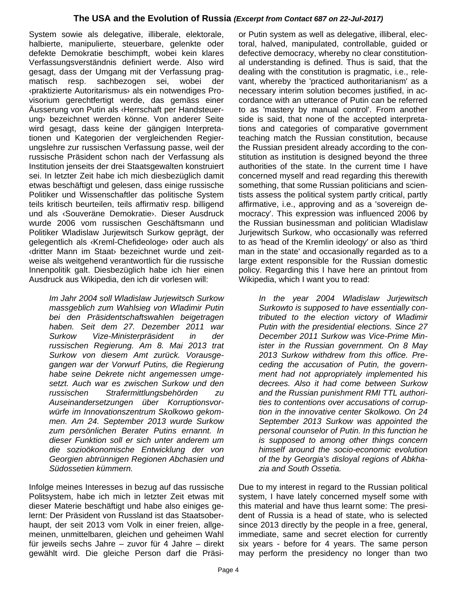System sowie als delegative, illiberale, elektorale, halbierte, manipulierte, steuerbare, gelenkte oder defekte Demokratie beschimpft, wobei kein klares Verfassungsverständnis definiert werde. Also wird gesagt, dass der Umgang mit der Verfassung pragmatisch resp. sachbezogen sei, wobei der ‹praktizierte Autoritarismus› als ein notwendiges Provisorium gerechtfertigt werde, das gemäss einer Äusserung von Putin als ‹Herrschaft per Handsteuerung› bezeichnet werden könne. Von anderer Seite wird gesagt, dass keine der gängigen Interpretationen und Kategorien der vergleichenden Regierungslehre zur russischen Verfassung passe, weil der russische Präsident schon nach der Verfassung als Institution jenseits der drei Staatsgewalten konstruiert sei. In letzter Zeit habe ich mich diesbezüglich damit etwas beschäftigt und gelesen, dass einige russische Politiker und Wissenschaftler das politische System teils kritisch beurteilen, teils affirmativ resp. billigend und als ‹Souveräne Demokratie›. Dieser Ausdruck wurde 2006 vom russischen Geschäftsmann und Politiker Wladislaw Jurjewitsch Surkow geprägt, der gelegentlich als ‹Kreml-Chefideologe› oder auch als ‹dritter Mann im Staat› bezeichnet wurde und zeitweise als weitgehend verantwortlich für die russische Innenpolitik galt. Diesbezüglich habe ich hier einen Ausdruck aus Wikipedia, den ich dir vorlesen will:

*Im Jahr 2004 soll Wladislaw Jurjewitsch Surkow massgeblich zum Wahlsieg von Wladimir Putin bei den Präsidentschaftswahlen beigetragen haben. Seit dem 27. Dezember 2011 war Surkow Vize-Ministerpräsident in der russischen Regierung. Am 8. Mai 2013 trat Surkow von diesem Amt zurück. Vorausgegangen war der Vorwurf Putins, die Regierung habe seine Dekrete nicht angemessen umgesetzt. Auch war es zwischen Surkow und den russischen Strafermittlungsbehörden zu Auseinandersetzungen über Korruptionsvorwürfe im Innovationszentrum Skolkowo gekommen. Am 24. September 2013 wurde Surkow zum persönlichen Berater Putins ernannt. In dieser Funktion soll er sich unter anderem um die sozioökonomische Entwicklung der von Georgien abtrünnigen Regionen Abchasien und Südossetien kümmern.*

Infolge meines Interesses in bezug auf das russische Politsystem, habe ich mich in letzter Zeit etwas mit dieser Materie beschäftigt und habe also einiges gelernt: Der Präsident von Russland ist das Staatsoberhaupt, der seit 2013 vom Volk in einer freien, allgemeinen, unmittelbaren, gleichen und geheimen Wahl für jeweils sechs Jahre – zuvor für 4 Jahre – direkt gewählt wird. Die gleiche Person darf die Präsi-

or Putin system as well as delegative, illiberal, electoral, halved, manipulated, controllable, guided or defective democracy, whereby no clear constitutional understanding is defined. Thus is said, that the dealing with the constitution is pragmatic, i.e., relevant, whereby the 'practiced authoritarianism' as a necessary interim solution becomes justified, in accordance with an utterance of Putin can be referred to as 'mastery by manual control'. From another side is said, that none of the accepted interpretations and categories of comparative government teaching match the Russian constitution, because the Russian president already according to the constitution as institution is designed beyond the three authorities of the state. In the current time I have concerned myself and read regarding this therewith something, that some Russian politicians and scientists assess the political system partly critical, partly affirmative, i.e., approving and as a 'sovereign democracy'. This expression was influenced 2006 by the Russian businessman and politician Wladislaw Jurjewitsch Surkow, who occasionally was referred to as 'head of the Kremlin ideology' or also as 'third man in the state' and occasionally regarded as to a large extent responsible for the Russian domestic policy. Regarding this I have here an printout from Wikipedia, which I want you to read:

> *In the year 2004 Wladislaw Jurjewitsch Surkowto is supposed to have essentially contributed to the election victory of Wladimir Putin with the presidential elections. Since 27 December 2011 Surkow was Vice-Prime Minister in the Russian government. On 8 May 2013 Surkow withdrew from this office. Preceding the accusation of Putin, the government had not appropriately implemented his decrees. Also it had come between Surkow and the Russian punishment RMI TTL authorities to contentions over accusations of corruption in the innovative center Skolkowo. On 24 September 2013 Surkow was appointed the personal counselor of Putin. In this function he is supposed to among other things concern himself around the socio-economic evolution of the by Georgia's disloyal regions of Abkhazia and South Ossetia.*

Due to my interest in regard to the Russian political system, I have lately concerned myself some with this material and have thus learnt some: The president of Russia is a head of state, who is selected since 2013 directly by the people in a free, general, immediate, same and secret election for currently six years - before for 4 years. The same person may perform the presidency no longer than two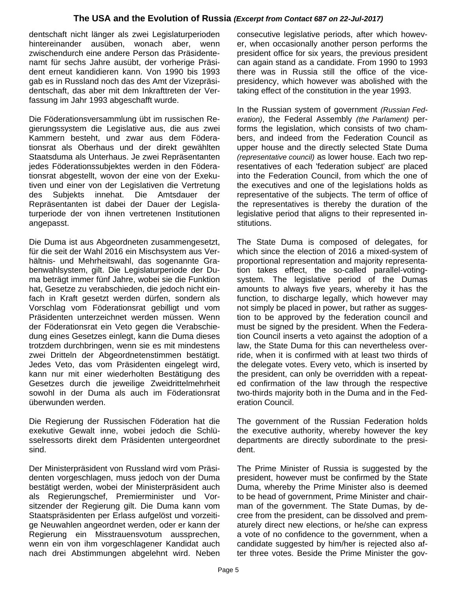dentschaft nicht länger als zwei Legislaturperioden hintereinander ausüben, wonach aber, wenn zwischendurch eine andere Person das Präsidentenamt für sechs Jahre ausübt, der vorherige Präsident erneut kandidieren kann. Von 1990 bis 1993 gab es in Russland noch das des Amt der Vizepräsidentschaft, das aber mit dem Inkrafttreten der Verfassung im Jahr 1993 abgeschafft wurde.

Die Föderationsversammlung übt im russischen Regierungssystem die Legislative aus, die aus zwei Kammern besteht, und zwar aus dem Föderationsrat als Oberhaus und der direkt gewählten Staatsduma als Unterhaus. Je zwei Repräsentanten jedes Föderationssubjektes werden in den Föderationsrat abgestellt, wovon der eine von der Exekutiven und einer von der Legislativen die Vertretung des Subjekts innehat. Die Amtsdauer der Repräsentanten ist dabei der Dauer der Legislaturperiode der von ihnen vertretenen Institutionen angepasst.

Die Duma ist aus Abgeordneten zusammengesetzt, für die seit der Wahl 2016 ein Mischsystem aus Verhältnis- und Mehrheitswahl, das sogenannte Grabenwahlsystem, gilt. Die Legislaturperiode der Duma beträgt immer fünf Jahre, wobei sie die Funktion hat, Gesetze zu verabschieden, die jedoch nicht einfach in Kraft gesetzt werden dürfen, sondern als Vorschlag vom Föderationsrat gebilligt und vom Präsidenten unterzeichnet werden müssen. Wenn der Föderationsrat ein Veto gegen die Verabschiedung eines Gesetzes einlegt, kann die Duma dieses trotzdem durchbringen, wenn sie es mit mindestens zwei Dritteln der Abgeordnetenstimmen bestätigt. Jedes Veto, das vom Präsidenten eingelegt wird, kann nur mit einer wiederholten Bestätigung des Gesetzes durch die jeweilige Zweidrittelmehrheit sowohl in der Duma als auch im Föderationsrat überwunden werden.

Die Regierung der Russischen Föderation hat die exekutive Gewalt inne, wobei jedoch die Schlüsselressorts direkt dem Präsidenten untergeordnet sind.

Der Ministerpräsident von Russland wird vom Präsidenten vorgeschlagen, muss jedoch von der Duma bestätigt werden, wobei der Ministerpräsident auch als Regierungschef, Premierminister und Vorsitzender der Regierung gilt. Die Duma kann vom Staatspräsidenten per Erlass aufgelöst und vorzeitige Neuwahlen angeordnet werden, oder er kann der Regierung ein Misstrauensvotum aussprechen, wenn ein von ihm vorgeschlagener Kandidat auch nach drei Abstimmungen abgelehnt wird. Neben

consecutive legislative periods, after which however, when occasionally another person performs the president office for six years, the previous president can again stand as a candidate. From 1990 to 1993 there was in Russia still the office of the vicepresidency, which however was abolished with the taking effect of the constitution in the year 1993.

In the Russian system of government *(Russian Federation)*, the Federal Assembly *(the Parlament)* performs the legislation, which consists of two chambers, and indeed from the Federation Council as upper house and the directly selected State Duma *(representative council)* as lower house. Each two representatives of each 'federation subject' are placed into the Federation Council, from which the one of the executives and one of the legislations holds as representative of the subjects. The term of office of the representatives is thereby the duration of the legislative period that aligns to their represented institutions.

The State Duma is composed of delegates, for which since the election of 2016 a mixed-system of proportional representation and majority representation takes effect, the so-called parallel-votingsystem. The legislative period of the Dumas amounts to always five years, whereby it has the function, to discharge legally, which however may not simply be placed in power, but rather as suggestion to be approved by the federation council and must be signed by the president. When the Federation Council inserts a veto against the adoption of a law, the State Duma for this can nevertheless override, when it is confirmed with at least two thirds of the delegate votes. Every veto, which is inserted by the president, can only be overridden with a repeated confirmation of the law through the respective two-thirds majority both in the Duma and in the Federation Council.

The government of the Russian Federation holds the executive authority, whereby however the key departments are directly subordinate to the president.

The Prime Minister of Russia is suggested by the president, however must be confirmed by the State Duma, whereby the Prime Minister also is deemed to be head of government, Prime Minister and chairman of the government. The State Dumas, by decree from the president, can be dissolved and prematurely direct new elections, or he/she can express a vote of no confidence to the government, when a candidate suggested by him/her is rejected also after three votes. Beside the Prime Minister the gov-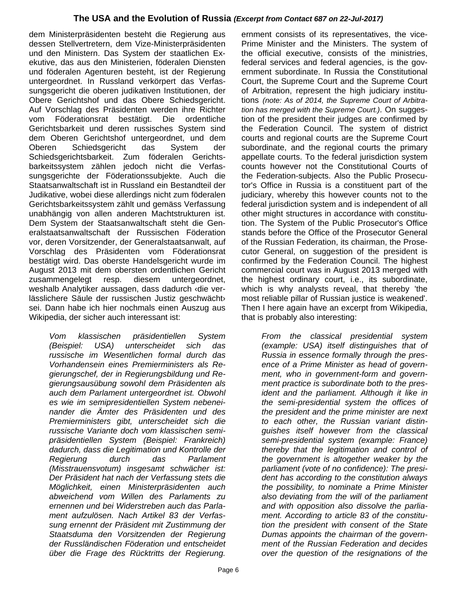dem Ministerpräsidenten besteht die Regierung aus dessen Stellvertretern, dem Vize-Ministerpräsidenten und den Ministern. Das System der staatlichen Exekutive, das aus den Ministerien, föderalen Diensten und föderalen Agenturen besteht, ist der Regierung untergeordnet. In Russland verkörpert das Verfassungsgericht die oberen judikativen Institutionen, der Obere Gerichtshof und das Obere Schiedsgericht. Auf Vorschlag des Präsidenten werden ihre Richter vom Föderationsrat bestätigt. Die ordentliche Gerichtsbarkeit und deren russisches System sind dem Oberen Gerichtshof untergeordnet, und dem Oberen Schiedsgericht das System der Schiedsgerichtsbarkeit. Zum föderalen Gerichtsbarkeitssystem zählen jedoch nicht die Verfassungsgerichte der Föderationssubjekte. Auch die Staatsanwaltschaft ist in Russland ein Bestandteil der Judikative, wobei diese allerdings nicht zum föderalen Gerichtsbarkeitssystem zählt und gemäss Verfassung unabhängig von allen anderen Machtstrukturen ist. Dem System der Staatsanwaltschaft steht die Generalstaatsanwaltschaft der Russischen Föderation vor, deren Vorsitzender, der Generalstaatsanwalt, auf Vorschlag des Präsidenten vom Föderationsrat bestätigt wird. Das oberste Handelsgericht wurde im August 2013 mit dem obersten ordentlichen Gericht zusammengelegt resp. diesem untergeordnet, weshalb Analytiker aussagen, dass dadurch ‹die verlässlichere Säule der russischen Justiz geschwächt› sei. Dann habe ich hier nochmals einen Auszug aus Wikipedia, der sicher auch interessant ist:

*Vom klassischen präsidentiellen System (Beispiel: USA) unterscheidet sich das russische im Wesentlichen formal durch das Vorhandensein eines Premierministers als Regierungschef, der in Regierungsbildung und Regierungsausübung sowohl dem Präsidenten als auch dem Parlament untergeordnet ist. Obwohl es wie im semipresidentiellen System nebeneinander die Ämter des Präsidenten und des Premierministers gibt, unterscheidet sich die russische Variante doch vom klassischen semipräsidentiellen System (Beispiel: Frankreich) dadurch, dass die Legitimation und Kontrolle der Regierung durch das Parlament (Misstrauensvotum) insgesamt schwächer ist: Der Präsident hat nach der Verfassung stets die Möglichkeit, einen Ministerpräsidenten auch abweichend vom Willen des Parlaments zu ernennen und bei Widerstreben auch das Parlament aufzulösen. Nach Artikel 83 der Verfassung ernennt der Präsident mit Zustimmung der Staatsduma den Vorsitzenden der Regierung der Russländischen Föderation und entscheidet über die Frage des Rücktritts der Regierung.* 

Prime Minister and the Ministers. The system of the official executive, consists of the ministries, federal services and federal agencies, is the government subordinate. In Russia the Constitutional Court, the Supreme Court and the Supreme Court of Arbitration, represent the high judiciary institutions *(note: As of 2014, the Supreme Court of Arbitration has merged with the Supreme Court.)*. On suggestion of the president their judges are confirmed by the Federation Council. The system of district courts and regional courts are the Supreme Court subordinate, and the regional courts the primary appellate courts. To the federal jurisdiction system counts however not the Constitutional Courts of the Federation-subjects. Also the Public Prosecutor's Office in Russia is a constituent part of the judiciary, whereby this however counts not to the federal jurisdiction system and is independent of all other might structures in accordance with constitution. The System of the Public Prosecutor's Office stands before the Office of the Prosecutor General of the Russian Federation, its chairman, the Prosecutor General, on suggestion of the president is confirmed by the Federation Council. The highest commercial court was in August 2013 merged with the highest ordinary court, i.e., its subordinate, which is why analysts reveal, that thereby 'the most reliable pillar of Russian justice is weakened'. Then I here again have an excerpt from Wikipedia, that is probably also interesting:

ernment consists of its representatives, the vice-

*From the classical presidential system (example: USA) itself distinguishes that of Russia in essence formally through the presence of a Prime Minister as head of government, who in government-form and government practice is subordinate both to the president and the parliament. Although it like in the semi-presidential system the offices of the president and the prime minister are next to each other, the Russian variant distinguishes itself however from the classical semi-presidential system (example: France) thereby that the legitimation and control of the government is altogether weaker by the parliament (vote of no confidence): The president has according to the constitution always the possibility, to nominate a Prime Minister also deviating from the will of the parliament and with opposition also dissolve the parliament. According to article 83 of the constitution the president with consent of the State Dumas appoints the chairman of the government of the Russian Federation and decides over the question of the resignations of the*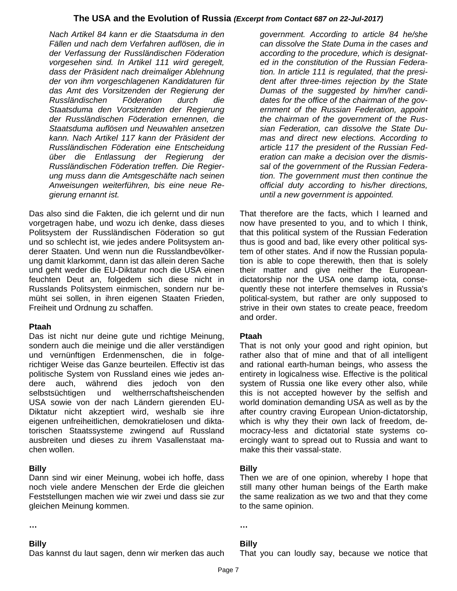*Nach Artikel 84 kann er die Staatsduma in den Fällen und nach dem Verfahren auflösen, die in der Verfassung der Russländischen Föderation vorgesehen sind. In Artikel 111 wird geregelt, dass der Präsident nach dreimaliger Ablehnung der von ihm vorgeschlagenen Kandidaturen für das Amt des Vorsitzenden der Regierung der Russländischen Föderation durch die Staatsduma den Vorsitzenden der Regierung der Russländischen Föderation ernennen, die Staatsduma auflösen und Neuwahlen ansetzen kann. Nach Artikel 117 kann der Präsident der Russländischen Föderation eine Entscheidung über die Entlassung der Regierung der Russländischen Föderation treffen. Die Regierung muss dann die Amtsgeschäfte nach seinen Anweisungen weiterführen, bis eine neue Regierung ernannt ist.*

Das also sind die Fakten, die ich gelernt und dir nun vorgetragen habe, und wozu ich denke, dass dieses Politsystem der Russländischen Föderation so gut und so schlecht ist, wie jedes andere Politsystem anderer Staaten. Und wenn nun die Russlandbevölkerung damit klarkommt, dann ist das allein deren Sache und geht weder die EU-Diktatur noch die USA einen feuchten Deut an, folgedem sich diese nicht in Russlands Politsystem einmischen, sondern nur bemüht sei sollen, in ihren eigenen Staaten Frieden, Freiheit und Ordnung zu schaffen.

#### **Ptaah**

Das ist nicht nur deine gute und richtige Meinung, sondern auch die meinige und die aller verständigen und vernünftigen Erdenmenschen, die in folgerichtiger Weise das Ganze beurteilen. Effectiv ist das politische System von Russland eines wie jedes andere auch, während dies jedoch von den selbstsüchtigen und weltherrschaftsheischenden USA sowie von der nach Ländern gierenden EU-Diktatur nicht akzeptiert wird, weshalb sie ihre eigenen unfreiheitlichen, demokratielosen und diktatorischen Staatssysteme zwingend auf Russland ausbreiten und dieses zu ihrem Vasallenstaat machen wollen.

## **Billy**

Dann sind wir einer Meinung, wobei ich hoffe, dass noch viele andere Menschen der Erde die gleichen Feststellungen machen wie wir zwei und dass sie zur gleichen Meinung kommen.

#### **…**

#### **Billy**

Das kannst du laut sagen, denn wir merken das auch

*government. According to article 84 he/she can dissolve the State Duma in the cases and according to the procedure, which is designated in the constitution of the Russian Federation. In article 111 is regulated, that the president after three-times rejection by the State Dumas of the suggested by him/her candidates for the office of the chairman of the government of the Russian Federation, appoint the chairman of the government of the Russian Federation, can dissolve the State Dumas and direct new elections. According to article 117 the president of the Russian Federation can make a decision over the dismissal of the government of the Russian Federation. The government must then continue the official duty according to his/her directions, until a new government is appointed.*

That therefore are the facts, which I learned and now have presented to you, and to which I think, that this political system of the Russian Federation thus is good and bad, like every other political system of other states. And if now the Russian population is able to cope therewith, then that is solely their matter and give neither the Europeandictatorship nor the USA one damp iota, consequently these not interfere themselves in Russia's political-system, but rather are only supposed to strive in their own states to create peace, freedom and order.

#### **Ptaah**

That is not only your good and right opinion, but rather also that of mine and that of all intelligent and rational earth-human beings, who assess the entirety in logicalness wise. Effective is the political system of Russia one like every other also, while this is not accepted however by the selfish and world domination demanding USA as well as by the after country craving European Union-dictatorship, which is why they their own lack of freedom, democracy-less and dictatorial state systems coercingly want to spread out to Russia and want to make this their vassal-state.

#### **Billy**

Then we are of one opinion, whereby I hope that still many other human beings of the Earth make the same realization as we two and that they come to the same opinion.

## **…**

## **Billy**

That you can loudly say, because we notice that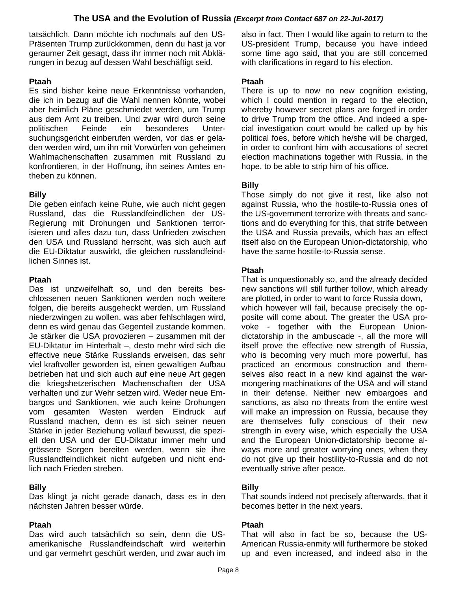tatsächlich. Dann möchte ich nochmals auf den US-Präsenten Trump zurückkommen, denn du hast ja vor geraumer Zeit gesagt, dass ihr immer noch mit Abklärungen in bezug auf dessen Wahl beschäftigt seid.

#### **Ptaah**

Es sind bisher keine neue Erkenntnisse vorhanden, die ich in bezug auf die Wahl nennen könnte, wobei aber heimlich Pläne geschmiedet werden, um Trump aus dem Amt zu treiben. Und zwar wird durch seine politischen Feinde ein besonderes Untersuchungsgericht einberufen werden, vor das er geladen werden wird, um ihn mit Vorwürfen von geheimen Wahlmachenschaften zusammen mit Russland zu konfrontieren, in der Hoffnung, ihn seines Amtes entheben zu können.

## **Billy**

Die geben einfach keine Ruhe, wie auch nicht gegen Russland, das die Russlandfeindlichen der US-Regierung mit Drohungen und Sanktionen terrorisieren und alles dazu tun, dass Unfrieden zwischen den USA und Russland herrscht, was sich auch auf die EU-Diktatur auswirkt, die gleichen russlandfeindlichen Sinnes ist.

#### **Ptaah**

Das ist unzweifelhaft so, und den bereits beschlossenen neuen Sanktionen werden noch weitere folgen, die bereits ausgeheckt werden, um Russland niederzwingen zu wollen, was aber fehlschlagen wird, denn es wird genau das Gegenteil zustande kommen. Je stärker die USA provozieren – zusammen mit der EU-Diktatur im Hinterhalt –, desto mehr wird sich die effective neue Stärke Russlands erweisen, das sehr viel kraftvoller geworden ist, einen gewaltigen Aufbau betrieben hat und sich auch auf eine neue Art gegen die kriegshetzerischen Machenschaften der USA verhalten und zur Wehr setzen wird. Weder neue Embargos und Sanktionen, wie auch keine Drohungen vom gesamten Westen werden Eindruck auf Russland machen, denn es ist sich seiner neuen Stärke in jeder Beziehung vollauf bewusst, die speziell den USA und der EU-Diktatur immer mehr und grössere Sorgen bereiten werden, wenn sie ihre Russlandfeindlichkeit nicht aufgeben und nicht endlich nach Frieden streben.

## **Billy**

Das klingt ja nicht gerade danach, dass es in den nächsten Jahren besser würde.

#### **Ptaah**

Das wird auch tatsächlich so sein, denn die USamerikanische Russlandfeindschaft wird weiterhin und gar vermehrt geschürt werden, und zwar auch im

also in fact. Then I would like again to return to the US-president Trump, because you have indeed some time ago said, that you are still concerned with clarifications in regard to his election.

#### **Ptaah**

There is up to now no new cognition existing, which I could mention in regard to the election. whereby however secret plans are forged in order to drive Trump from the office. And indeed a special investigation court would be called up by his political foes, before which he/she will be charged, in order to confront him with accusations of secret election machinations together with Russia, in the hope, to be able to strip him of his office.

## **Billy**

Those simply do not give it rest, like also not against Russia, who the hostile-to-Russia ones of the US-government terrorize with threats and sanctions and do everything for this, that strife between the USA and Russia prevails, which has an effect itself also on the European Union-dictatorship, who have the same hostile-to-Russia sense.

## **Ptaah**

That is unquestionably so, and the already decided new sanctions will still further follow, which already are plotted, in order to want to force Russia down, which however will fail, because precisely the opposite will come about. The greater the USA provoke - together with the European Uniondictatorship in the ambuscade -, all the more will itself prove the effective new strength of Russia, who is becoming very much more powerful, has practiced an enormous construction and themselves also react in a new kind against the warmongering machinations of the USA and will stand in their defense. Neither new embargoes and sanctions, as also no threats from the entire west will make an impression on Russia, because they are themselves fully conscious of their new strength in every wise, which especially the USA and the European Union-dictatorship become always more and greater worrying ones, when they do not give up their hostility-to-Russia and do not eventually strive after peace.

## **Billy**

That sounds indeed not precisely afterwards, that it becomes better in the next years.

#### **Ptaah**

That will also in fact be so, because the US-American Russia-enmity will furthermore be stoked up and even increased, and indeed also in the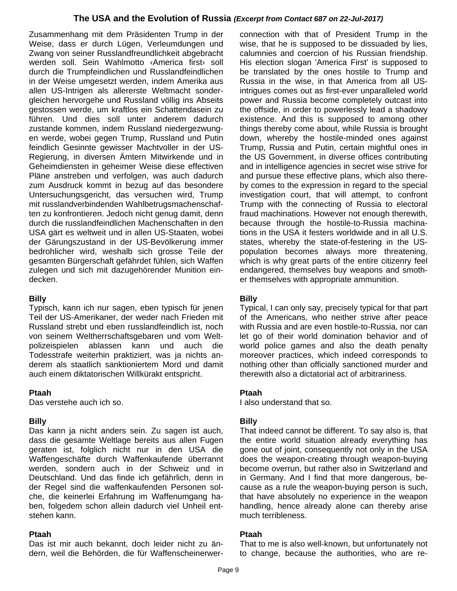Zusammenhang mit dem Präsidenten Trump in der Weise, dass er durch Lügen, Verleumdungen und Zwang von seiner Russlandfreundlichkeit abgebracht werden soll. Sein Wahlmotto ‹America first› soll durch die Trumpfeindlichen und Russlandfeindlichen in der Weise umgesetzt werden, indem Amerika aus allen US-Intrigen als allererste Weltmacht sondergleichen hervorgehe und Russland völlig ins Abseits gestossen werde, um kraftlos ein Schattendasein zu führen. Und dies soll unter anderem dadurch zustande kommen, indem Russland niedergezwungen werde, wobei gegen Trump, Russland und Putin feindlich Gesinnte gewisser Machtvoller in der US-Regierung, in diversen Ämtern Mitwirkende und in Geheimdiensten in geheimer Weise diese effectiven Pläne anstreben und verfolgen, was auch dadurch zum Ausdruck kommt in bezug auf das besondere Untersuchungsgericht, das versuchen wird, Trump mit russlandverbindenden Wahlbetrugsmachenschaften zu konfrontieren. Jedoch nicht genug damit, denn durch die russlandfeindlichen Machenschaften in den USA gärt es weltweit und in allen US-Staaten, wobei der Gärungszustand in der US-Bevölkerung immer bedrohlicher wird, weshalb sich grosse Teile der gesamten Bürgerschaft gefährdet fühlen, sich Waffen zulegen und sich mit dazugehörender Munition eindecken.

## **Billy**

Typisch, kann ich nur sagen, eben typisch für jenen Teil der US-Amerikaner, der weder nach Frieden mit Russland strebt und eben russlandfeindlich ist, noch von seinem Weltherrschaftsgebaren und vom Weltpolizeispielen ablassen kann und auch die Todesstrafe weiterhin praktiziert, was ja nichts anderem als staatlich sanktioniertem Mord und damit auch einem diktatorischen Willkürakt entspricht.

#### **Ptaah**

Das verstehe auch ich so.

#### **Billy**

Das kann ja nicht anders sein. Zu sagen ist auch, dass die gesamte Weltlage bereits aus allen Fugen geraten ist, folglich nicht nur in den USA die Waffengeschäfte durch Waffenkaufende überrannt werden, sondern auch in der Schweiz und in Deutschland. Und das finde ich gefährlich, denn in der Regel sind die waffenkaufenden Personen solche, die keinerlei Erfahrung im Waffenumgang haben, folgedem schon allein dadurch viel Unheil entstehen kann.

#### **Ptaah**

Das ist mir auch bekannt, doch leider nicht zu ändern, weil die Behörden, die für Waffenscheinerwer-

connection with that of President Trump in the wise, that he is supposed to be dissuaded by lies, calumnies and coercion of his Russian friendship. His election slogan 'America First' is supposed to be translated by the ones hostile to Trump and Russia in the wise, in that America from all USintrigues comes out as first-ever unparalleled world power and Russia become completely outcast into the offside, in order to powerlessly lead a shadowy existence. And this is supposed to among other things thereby come about, while Russia is brought down, whereby the hostile-minded ones against Trump, Russia and Putin, certain mightful ones in the US Government, in diverse offices contributing and in intelligence agencies in secret wise strive for and pursue these effective plans, which also thereby comes to the expression in regard to the special investigation court, that will attempt, to confront Trump with the connecting of Russia to electoral fraud machinations. However not enough therewith, because through the hostile-to-Russia machinations in the USA it festers worldwide and in all U.S. states, whereby the state-of-festering in the USpopulation becomes always more threatening, which is why great parts of the entire citizenry feel endangered, themselves buy weapons and smother themselves with appropriate ammunition.

## **Billy**

Typical, I can only say, precisely typical for that part of the Americans, who neither strive after peace with Russia and are even hostile-to-Russia, nor can let go of their world domination behavior and of world police games and also the death penalty moreover practices, which indeed corresponds to nothing other than officially sanctioned murder and therewith also a dictatorial act of arbitrariness.

#### **Ptaah**

I also understand that so.

#### **Billy**

That indeed cannot be different. To say also is, that the entire world situation already everything has gone out of joint, consequently not only in the USA does the weapon-creating through weapon-buying become overrun, but rather also in Switzerland and in Germany. And I find that more dangerous, because as a rule the weapon-buying person is such, that have absolutely no experience in the weapon handling, hence already alone can thereby arise much terribleness.

#### **Ptaah**

That to me is also well-known, but unfortunately not to change, because the authorities, who are re-